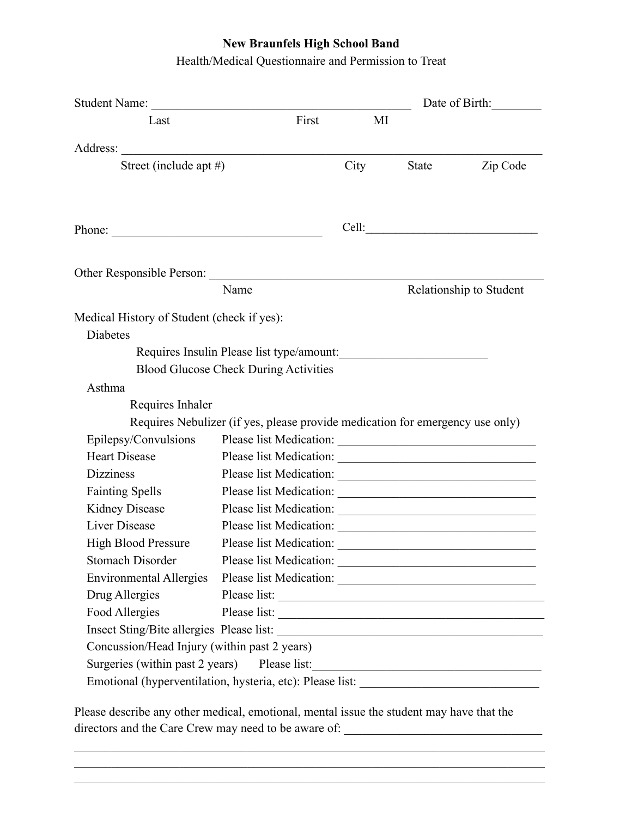## **New Braunfels High School Band**

Health/Medical Questionnaire and Permission to Treat

| Student Name:<br>First<br>Last                                                |      | Date of Birth: |                         |  |
|-------------------------------------------------------------------------------|------|----------------|-------------------------|--|
|                                                                               | MI   |                |                         |  |
|                                                                               |      |                |                         |  |
| Street (include apt #)                                                        | City | State          | Zip Code                |  |
| Phone:                                                                        |      |                |                         |  |
| Other Responsible Person:                                                     |      |                |                         |  |
| Name                                                                          |      |                | Relationship to Student |  |
| Medical History of Student (check if yes):<br>Diabetes                        |      |                |                         |  |
| Requires Insulin Please list type/amount:                                     |      |                |                         |  |
| <b>Blood Glucose Check During Activities</b>                                  |      |                |                         |  |
| Asthma                                                                        |      |                |                         |  |
| Requires Inhaler                                                              |      |                |                         |  |
|                                                                               |      |                |                         |  |
| Requires Nebulizer (if yes, please provide medication for emergency use only) |      |                |                         |  |
| Epilepsy/Convulsions                                                          |      |                |                         |  |
| <b>Heart Disease</b>                                                          |      |                |                         |  |
| <b>Dizziness</b>                                                              |      |                |                         |  |
| <b>Fainting Spells</b>                                                        |      |                |                         |  |
| Kidney Disease                                                                |      |                |                         |  |
| <b>Liver Disease</b>                                                          |      |                |                         |  |
| <b>High Blood Pressure</b>                                                    |      |                |                         |  |
| <b>Stomach Disorder</b>                                                       |      |                |                         |  |
| <b>Environmental Allergies</b>                                                |      |                |                         |  |
| Drug Allergies                                                                |      |                |                         |  |
| Food Allergies                                                                |      |                |                         |  |
|                                                                               |      |                |                         |  |
| Concussion/Head Injury (within past 2 years)                                  |      |                |                         |  |
| Surgeries (within past 2 years) Please list:                                  |      |                |                         |  |

Please describe any other medical, emotional, mental issue the student may have that the directors and the Care Crew may need to be aware of: \_\_\_\_\_\_\_\_\_\_\_\_\_\_\_\_\_\_\_\_\_\_\_\_\_\_\_\_\_\_\_\_

 $\mathcal{L}_\mathcal{L} = \{ \mathcal{L}_\mathcal{L} = \{ \mathcal{L}_\mathcal{L} = \{ \mathcal{L}_\mathcal{L} = \{ \mathcal{L}_\mathcal{L} = \{ \mathcal{L}_\mathcal{L} = \{ \mathcal{L}_\mathcal{L} = \{ \mathcal{L}_\mathcal{L} = \{ \mathcal{L}_\mathcal{L} = \{ \mathcal{L}_\mathcal{L} = \{ \mathcal{L}_\mathcal{L} = \{ \mathcal{L}_\mathcal{L} = \{ \mathcal{L}_\mathcal{L} = \{ \mathcal{L}_\mathcal{L} = \{ \mathcal{L}_\mathcal{$  $\mathcal{L}_\mathcal{L} = \{ \mathcal{L}_\mathcal{L} = \{ \mathcal{L}_\mathcal{L} = \{ \mathcal{L}_\mathcal{L} = \{ \mathcal{L}_\mathcal{L} = \{ \mathcal{L}_\mathcal{L} = \{ \mathcal{L}_\mathcal{L} = \{ \mathcal{L}_\mathcal{L} = \{ \mathcal{L}_\mathcal{L} = \{ \mathcal{L}_\mathcal{L} = \{ \mathcal{L}_\mathcal{L} = \{ \mathcal{L}_\mathcal{L} = \{ \mathcal{L}_\mathcal{L} = \{ \mathcal{L}_\mathcal{L} = \{ \mathcal{L}_\mathcal{$  $\mathcal{L}_\mathcal{L} = \{ \mathcal{L}_\mathcal{L} = \{ \mathcal{L}_\mathcal{L} = \{ \mathcal{L}_\mathcal{L} = \{ \mathcal{L}_\mathcal{L} = \{ \mathcal{L}_\mathcal{L} = \{ \mathcal{L}_\mathcal{L} = \{ \mathcal{L}_\mathcal{L} = \{ \mathcal{L}_\mathcal{L} = \{ \mathcal{L}_\mathcal{L} = \{ \mathcal{L}_\mathcal{L} = \{ \mathcal{L}_\mathcal{L} = \{ \mathcal{L}_\mathcal{L} = \{ \mathcal{L}_\mathcal{L} = \{ \mathcal{L}_\mathcal{$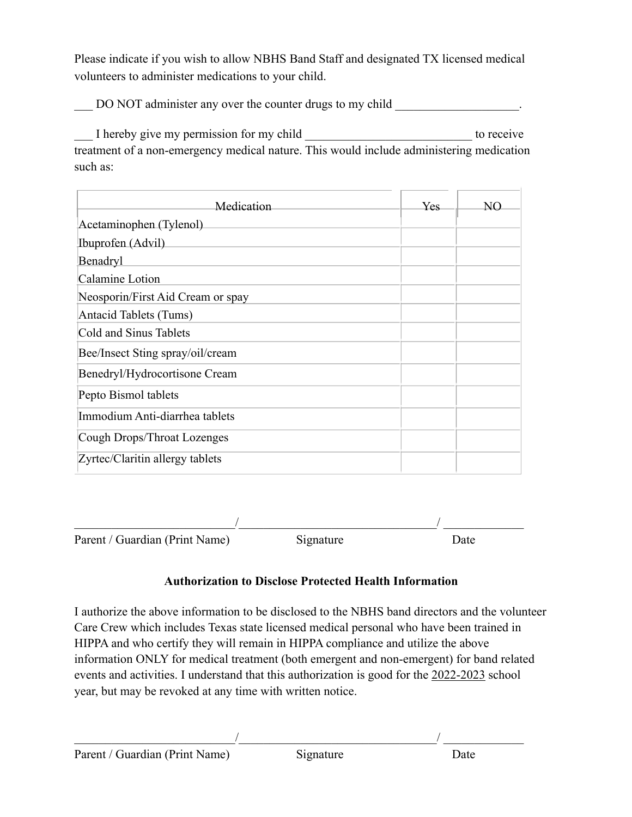Please indicate if you wish to allow NBHS Band Staff and designated TX licensed medical volunteers to administer medications to your child.

DO NOT administer any over the counter drugs to my child

\_\_\_ I hereby give my permission for my child \_\_\_\_\_\_\_\_\_\_\_\_\_\_\_\_\_\_\_\_\_\_\_\_\_\_\_ to receive treatment of a non-emergency medical nature. This would include administering medication such as:

| Medication                        | Yes. | NC |
|-----------------------------------|------|----|
| Acetaminophen (Tylenol)           |      |    |
| Ibuprofen (Advil)                 |      |    |
| Benadryl                          |      |    |
| Calamine Lotion                   |      |    |
| Neosporin/First Aid Cream or spay |      |    |
| Antacid Tablets (Tums)            |      |    |
| Cold and Sinus Tablets            |      |    |
| Bee/Insect Sting spray/oil/cream  |      |    |
| Benedryl/Hydrocortisone Cream     |      |    |
| Pepto Bismol tablets              |      |    |
| Immodium Anti-diarrhea tablets    |      |    |
| Cough Drops/Throat Lozenges       |      |    |
| Zyrtec/Claritin allergy tablets   |      |    |

 $\overline{\phantom{a}}$  ,  $\overline{\phantom{a}}$  ,  $\overline{\phantom{a}}$  ,  $\overline{\phantom{a}}$  ,  $\overline{\phantom{a}}$  ,  $\overline{\phantom{a}}$  ,  $\overline{\phantom{a}}$  ,  $\overline{\phantom{a}}$  ,  $\overline{\phantom{a}}$  ,  $\overline{\phantom{a}}$  ,  $\overline{\phantom{a}}$  ,  $\overline{\phantom{a}}$  ,  $\overline{\phantom{a}}$  ,  $\overline{\phantom{a}}$  ,  $\overline{\phantom{a}}$  ,  $\overline{\phantom{a}}$ Parent / Guardian (Print Name) Signature Date

## **Authorization to Disclose Protected Health Information**

I authorize the above information to be disclosed to the NBHS band directors and the volunteer Care Crew which includes Texas state licensed medical personal who have been trained in HIPPA and who certify they will remain in HIPPA compliance and utilize the above information ONLY for medical treatment (both emergent and non-emergent) for band related events and activities. I understand that this authorization is good for the 2022-2023 school year, but may be revoked at any time with written notice.

 $\overline{\phantom{a}}$  , and the contract of the contract of the contract of the contract of the contract of the contract of the contract of the contract of the contract of the contract of the contract of the contract of the contrac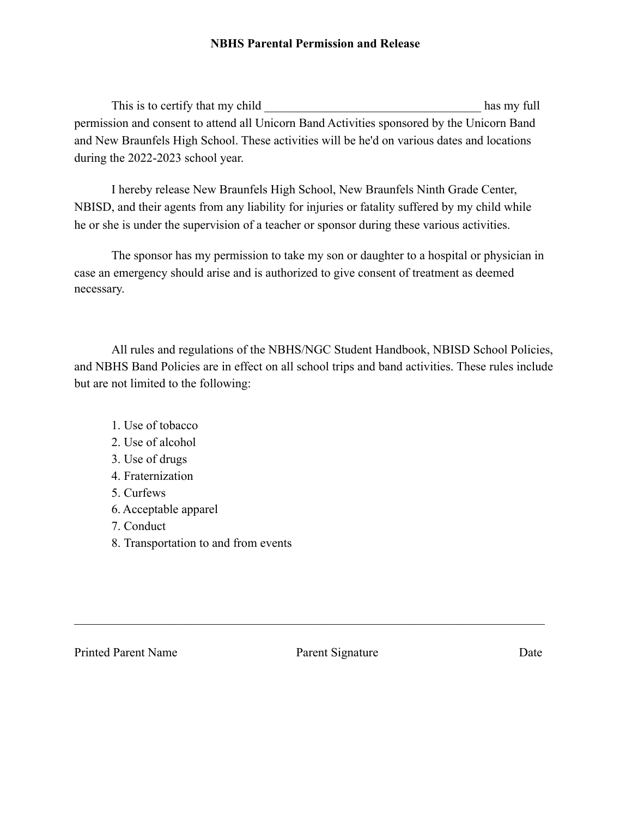## **NBHS Parental Permission and Release**

This is to certify that my child has my full permission and consent to attend all Unicorn Band Activities sponsored by the Unicorn Band and New Braunfels High School. These activities will be he'd on various dates and locations during the 2022-2023 school year.

I hereby release New Braunfels High School, New Braunfels Ninth Grade Center, NBISD, and their agents from any liability for injuries or fatality suffered by my child while he or she is under the supervision of a teacher or sponsor during these various activities.

The sponsor has my permission to take my son or daughter to a hospital or physician in case an emergency should arise and is authorized to give consent of treatment as deemed necessary.

All rules and regulations of the NBHS/NGC Student Handbook, NBISD School Policies, and NBHS Band Policies are in effect on all school trips and band activities. These rules include but are not limited to the following:

- 1. Use of tobacco
- 2. Use of alcohol
- 3. Use of drugs
- 4. Fraternization
- 5. Curfews
- 6. Acceptable apparel
- 7. Conduct
- 8. Transportation to and from events

Printed Parent Name Parent Signature Date

 $\mathcal{L}_\text{max}$  , and the contribution of the contribution of the contribution of the contribution of the contribution of the contribution of the contribution of the contribution of the contribution of the contribution of t